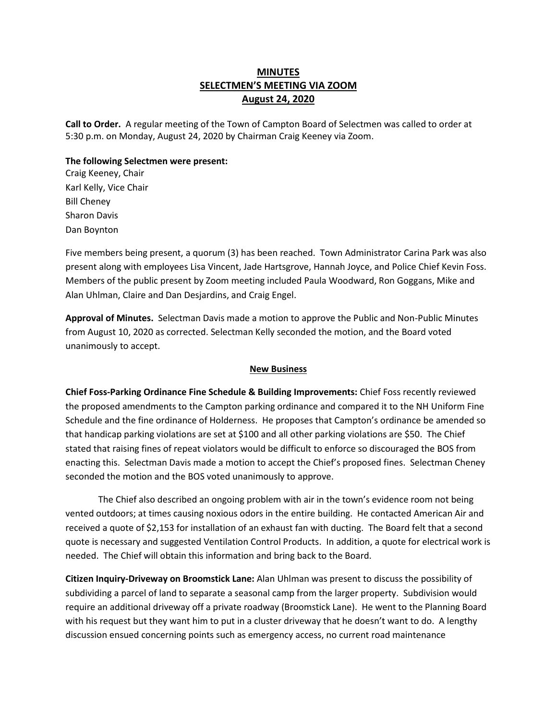# **MINUTES SELECTMEN'S MEETING VIA ZOOM August 24, 2020**

**Call to Order.** A regular meeting of the Town of Campton Board of Selectmen was called to order at 5:30 p.m. on Monday, August 24, 2020 by Chairman Craig Keeney via Zoom.

#### **The following Selectmen were present:**

Craig Keeney, Chair Karl Kelly, Vice Chair Bill Cheney Sharon Davis Dan Boynton

Five members being present, a quorum (3) has been reached.Town Administrator Carina Park was also present along with employees Lisa Vincent, Jade Hartsgrove, Hannah Joyce, and Police Chief Kevin Foss. Members of the public present by Zoom meeting included Paula Woodward, Ron Goggans, Mike and Alan Uhlman, Claire and Dan Desjardins, and Craig Engel.

**Approval of Minutes.** Selectman Davis made a motion to approve the Public and Non-Public Minutes from August 10, 2020 as corrected. Selectman Kelly seconded the motion, and the Board voted unanimously to accept.

#### **New Business**

**Chief Foss-Parking Ordinance Fine Schedule & Building Improvements:** Chief Foss recently reviewed the proposed amendments to the Campton parking ordinance and compared it to the NH Uniform Fine Schedule and the fine ordinance of Holderness. He proposes that Campton's ordinance be amended so that handicap parking violations are set at \$100 and all other parking violations are \$50. The Chief stated that raising fines of repeat violators would be difficult to enforce so discouraged the BOS from enacting this. Selectman Davis made a motion to accept the Chief's proposed fines. Selectman Cheney seconded the motion and the BOS voted unanimously to approve.

The Chief also described an ongoing problem with air in the town's evidence room not being vented outdoors; at times causing noxious odors in the entire building. He contacted American Air and received a quote of \$2,153 for installation of an exhaust fan with ducting. The Board felt that a second quote is necessary and suggested Ventilation Control Products. In addition, a quote for electrical work is needed. The Chief will obtain this information and bring back to the Board.

**Citizen Inquiry-Driveway on Broomstick Lane:** Alan Uhlman was present to discuss the possibility of subdividing a parcel of land to separate a seasonal camp from the larger property. Subdivision would require an additional driveway off a private roadway (Broomstick Lane). He went to the Planning Board with his request but they want him to put in a cluster driveway that he doesn't want to do. A lengthy discussion ensued concerning points such as emergency access, no current road maintenance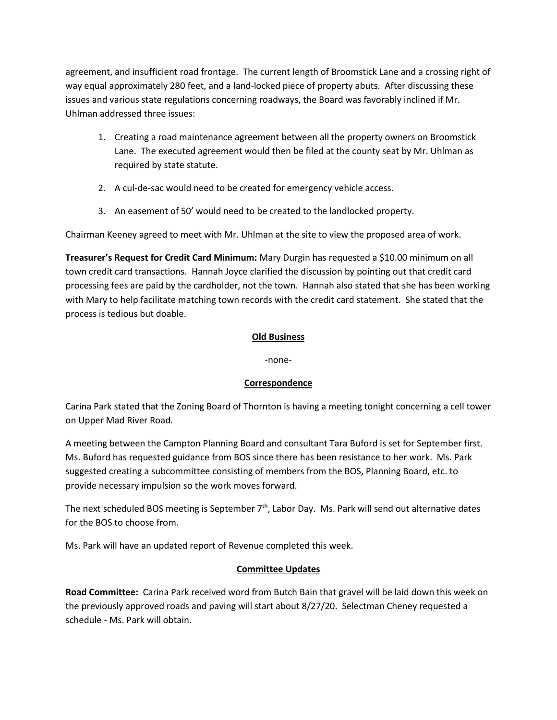agreement, and insufficient road frontage. The current length of Broomstick Lane and a crossing right of way equal approximately 280 feet, and a land-locked piece of property abuts. After discussing these issues and various state regulations concerning roadways, the Board was favorably inclined if Mr. Uhlman addressed three issues:

- 1. Creating a road maintenance agreement between all the property owners on Broomstick Lane. The executed agreement would then be filed at the county seat by Mr. Uhlman as required by state statute.
- 2. A cul-de-sac would need to be created for emergency vehicle access.
- 3. An easement of 50' would need to be created to the landlocked property.

Chairman Keeney agreed to meet with Mr. Uhlman at the site to view the proposed area of work.

**Treasurer's Request for Credit Card Minimum:** Mary Durgin has requested a \$10.00 minimum on all town credit card transactions. Hannah Joyce clarified the discussion by pointing out that credit card processing fees are paid by the cardholder, not the town. Hannah also stated that she has been working with Mary to help facilitate matching town records with the credit card statement. She stated that the process is tedious but doable.

## **Old Business**

-none-

### **Correspondence**

Carina Park stated that the Zoning Board of Thornton is having a meeting tonight concerning a cell tower on Upper Mad River Road.

A meeting between the Campton Planning Board and consultant Tara Buford is set for September first. Ms. Buford has requested guidance from BOS since there has been resistance to her work. Ms. Park suggested creating a subcommittee consisting of members from the BOS, Planning Board, etc. to provide necessary impulsion so the work moves forward.

The next scheduled BOS meeting is September  $7<sup>th</sup>$ , Labor Day. Ms. Park will send out alternative dates for the BOS to choose from.

Ms. Park will have an updated report of Revenue completed this week.

## **Committee Updates**

**Road Committee:** Carina Park received word from Butch Bain that gravel will be laid down this week on the previously approved roads and paving will start about 8/27/20. Selectman Cheney requested a schedule - Ms. Park will obtain.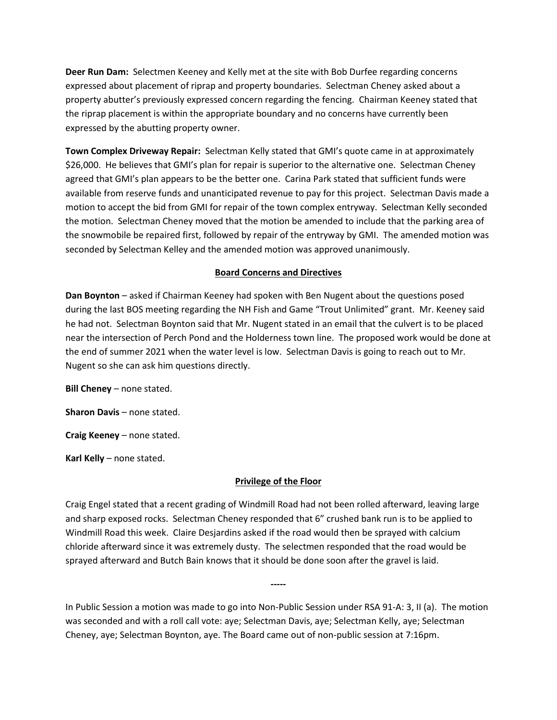**Deer Run Dam:** Selectmen Keeney and Kelly met at the site with Bob Durfee regarding concerns expressed about placement of riprap and property boundaries. Selectman Cheney asked about a property abutter's previously expressed concern regarding the fencing. Chairman Keeney stated that the riprap placement is within the appropriate boundary and no concerns have currently been expressed by the abutting property owner.

**Town Complex Driveway Repair:** Selectman Kelly stated that GMI's quote came in at approximately \$26,000. He believes that GMI's plan for repair is superior to the alternative one. Selectman Cheney agreed that GMI's plan appears to be the better one. Carina Park stated that sufficient funds were available from reserve funds and unanticipated revenue to pay for this project. Selectman Davis made a motion to accept the bid from GMI for repair of the town complex entryway. Selectman Kelly seconded the motion. Selectman Cheney moved that the motion be amended to include that the parking area of the snowmobile be repaired first, followed by repair of the entryway by GMI. The amended motion was seconded by Selectman Kelley and the amended motion was approved unanimously.

### **Board Concerns and Directives**

**Dan Boynton** – asked if Chairman Keeney had spoken with Ben Nugent about the questions posed during the last BOS meeting regarding the NH Fish and Game "Trout Unlimited" grant. Mr. Keeney said he had not. Selectman Boynton said that Mr. Nugent stated in an email that the culvert is to be placed near the intersection of Perch Pond and the Holderness town line. The proposed work would be done at the end of summer 2021 when the water level is low. Selectman Davis is going to reach out to Mr. Nugent so she can ask him questions directly.

**Bill Cheney** – none stated.

**Sharon Davis** – none stated.

**Craig Keeney** – none stated.

**Karl Kelly** – none stated.

#### **Privilege of the Floor**

Craig Engel stated that a recent grading of Windmill Road had not been rolled afterward, leaving large and sharp exposed rocks. Selectman Cheney responded that 6" crushed bank run is to be applied to Windmill Road this week. Claire Desjardins asked if the road would then be sprayed with calcium chloride afterward since it was extremely dusty. The selectmen responded that the road would be sprayed afterward and Butch Bain knows that it should be done soon after the gravel is laid.

In Public Session a motion was made to go into Non-Public Session under RSA 91-A: 3, II (a). The motion was seconded and with a roll call vote: aye; Selectman Davis, aye; Selectman Kelly, aye; Selectman Cheney, aye; Selectman Boynton, aye. The Board came out of non-public session at 7:16pm.

**-----**